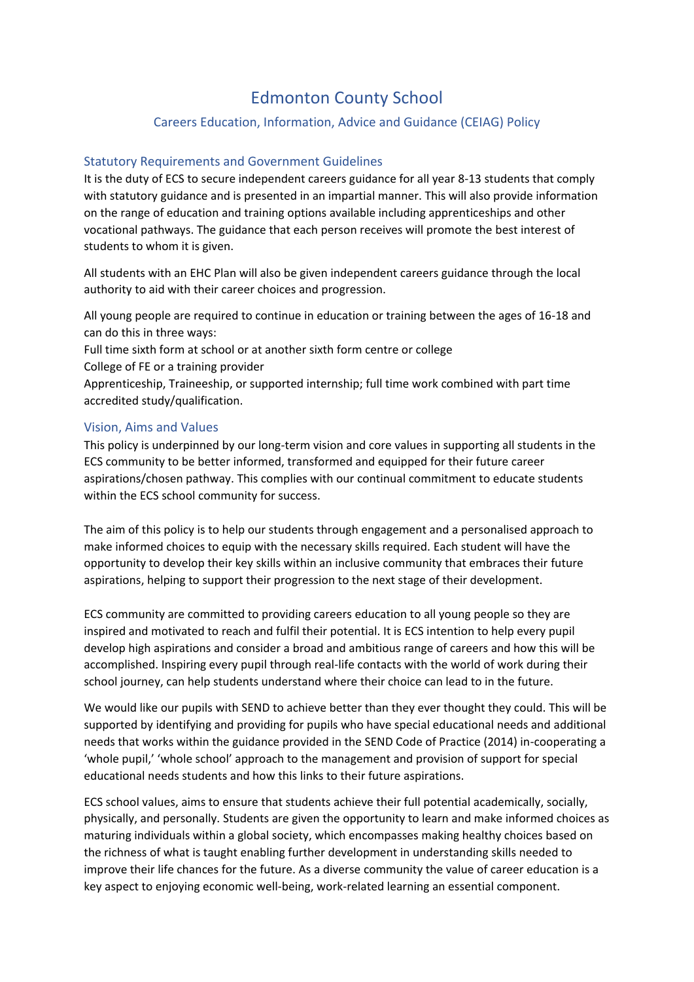# Edmonton County School

## Careers Education, Information, Advice and Guidance (CEIAG) Policy

## Statutory Requirements and Government Guidelines

It is the duty of ECS to secure independent careers guidance for all year 8-13 students that comply with statutory guidance and is presented in an impartial manner. This will also provide information on the range of education and training options available including apprenticeships and other vocational pathways. The guidance that each person receives will promote the best interest of students to whom it is given.

All students with an EHC Plan will also be given independent careers guidance through the local authority to aid with their career choices and progression.

All young people are required to continue in education or training between the ages of 16-18 and can do this in three ways:

Full time sixth form at school or at another sixth form centre or college College of FE or a training provider

Apprenticeship, Traineeship, or supported internship; full time work combined with part time accredited study/qualification.

#### Vision, Aims and Values

This policy is underpinned by our long-term vision and core values in supporting all students in the ECS community to be better informed, transformed and equipped for their future career aspirations/chosen pathway. This complies with our continual commitment to educate students within the ECS school community for success.

The aim of this policy is to help our students through engagement and a personalised approach to make informed choices to equip with the necessary skills required. Each student will have the opportunity to develop their key skills within an inclusive community that embraces their future aspirations, helping to support their progression to the next stage of their development.

ECS community are committed to providing careers education to all young people so they are inspired and motivated to reach and fulfil their potential. It is ECS intention to help every pupil develop high aspirations and consider a broad and ambitious range of careers and how this will be accomplished. Inspiring every pupil through real-life contacts with the world of work during their school journey, can help students understand where their choice can lead to in the future.

We would like our pupils with SEND to achieve better than they ever thought they could. This will be supported by identifying and providing for pupils who have special educational needs and additional needs that works within the guidance provided in the SEND Code of Practice (2014) in-cooperating a 'whole pupil,' 'whole school' approach to the management and provision of support for special educational needs students and how this links to their future aspirations.

ECS school values, aims to ensure that students achieve their full potential academically, socially, physically, and personally. Students are given the opportunity to learn and make informed choices as maturing individuals within a global society, which encompasses making healthy choices based on the richness of what is taught enabling further development in understanding skills needed to improve their life chances for the future. As a diverse community the value of career education is a key aspect to enjoying economic well-being, work-related learning an essential component.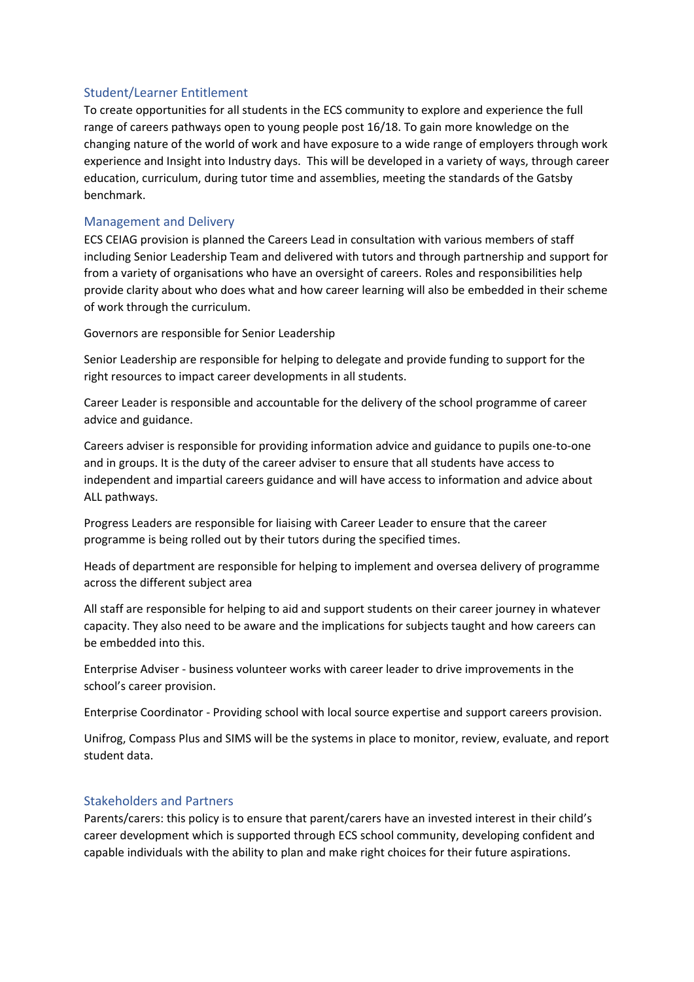## Student/Learner Entitlement

To create opportunities for all students in the ECS community to explore and experience the full range of careers pathways open to young people post 16/18. To gain more knowledge on the changing nature of the world of work and have exposure to a wide range of employers through work experience and Insight into Industry days. This will be developed in a variety of ways, through career education, curriculum, during tutor time and assemblies, meeting the standards of the Gatsby benchmark.

## Management and Delivery

ECS CEIAG provision is planned the Careers Lead in consultation with various members of staff including Senior Leadership Team and delivered with tutors and through partnership and support for from a variety of organisations who have an oversight of careers. Roles and responsibilities help provide clarity about who does what and how career learning will also be embedded in their scheme of work through the curriculum.

Governors are responsible for Senior Leadership

Senior Leadership are responsible for helping to delegate and provide funding to support for the right resources to impact career developments in all students.

Career Leader is responsible and accountable for the delivery of the school programme of career advice and guidance.

Careers adviser is responsible for providing information advice and guidance to pupils one-to-one and in groups. It is the duty of the career adviser to ensure that all students have access to independent and impartial careers guidance and will have access to information and advice about ALL pathways.

Progress Leaders are responsible for liaising with Career Leader to ensure that the career programme is being rolled out by their tutors during the specified times.

Heads of department are responsible for helping to implement and oversea delivery of programme across the different subject area

All staff are responsible for helping to aid and support students on their career journey in whatever capacity. They also need to be aware and the implications for subjects taught and how careers can be embedded into this.

Enterprise Adviser - business volunteer works with career leader to drive improvements in the school's career provision.

Enterprise Coordinator - Providing school with local source expertise and support careers provision.

Unifrog, Compass Plus and SIMS will be the systems in place to monitor, review, evaluate, and report student data.

## Stakeholders and Partners

Parents/carers: this policy is to ensure that parent/carers have an invested interest in their child's career development which is supported through ECS school community, developing confident and capable individuals with the ability to plan and make right choices for their future aspirations.